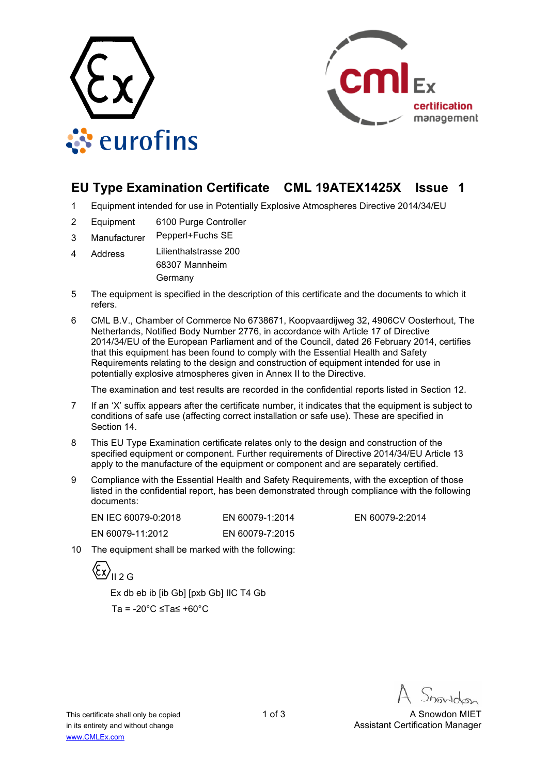



## **EU Type Examination Certificate CML 19ATEX1425X Issue 1**

- 1 Equipment intended for use in Potentially Explosive Atmospheres Directive 2014/34/EU
- 2 Equipment 6100 Purge Controller
- 3 Manufacturer Pepperl+Fuchs SE
- 4 Address Lilienthalstrasse 200 68307 Mannheim Germany
- 5 The equipment is specified in the description of this certificate and the documents to which it refers.
- 6 CML B.V., Chamber of Commerce No 6738671, Koopvaardijweg 32, 4906CV Oosterhout, The Netherlands, Notified Body Number 2776, in accordance with Article 17 of Directive 2014/34/EU of the European Parliament and of the Council, dated 26 February 2014, certifies that this equipment has been found to comply with the Essential Health and Safety Requirements relating to the design and construction of equipment intended for use in potentially explosive atmospheres given in Annex II to the Directive.

The examination and test results are recorded in the confidential reports listed in Section 12.

- 7 If an 'X' suffix appears after the certificate number, it indicates that the equipment is subject to conditions of safe use (affecting correct installation or safe use). These are specified in Section 14.
- 8 This EU Type Examination certificate relates only to the design and construction of the specified equipment or component. Further requirements of Directive 2014/34/EU Article 13 apply to the manufacture of the equipment or component and are separately certified.
- 9 Compliance with the Essential Health and Safety Requirements, with the exception of those listed in the confidential report, has been demonstrated through compliance with the following documents:

| EN IEC 60079-0:2018 | EN 60079-1:2014 |
|---------------------|-----------------|
| EN 60079-11:2012    | EN 60079-7:2015 |

EN 60079-2:2014

10 The equipment shall be marked with the following:

 $\langle \overline{\xi_x} \rangle$ <sub>II 2 G</sub>

 Ex db eb ib [ib Gb] [pxb Gb] IIC T4 Gb Ta = -20°C ≤Ta≤ +60°C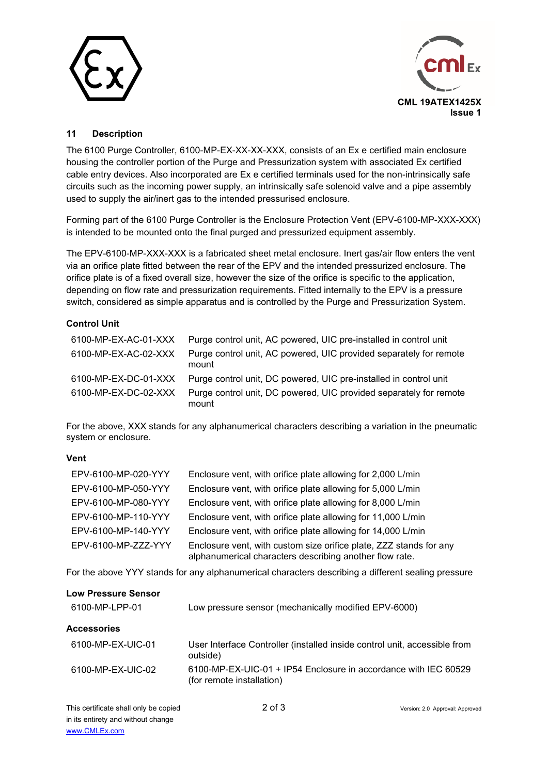



## **11 Description**

The 6100 Purge Controller, 6100-MP-EX-XX-XX-XXX, consists of an Ex e certified main enclosure housing the controller portion of the Purge and Pressurization system with associated Ex certified cable entry devices. Also incorporated are Ex e certified terminals used for the non-intrinsically safe circuits such as the incoming power supply, an intrinsically safe solenoid valve and a pipe assembly used to supply the air/inert gas to the intended pressurised enclosure.

Forming part of the 6100 Purge Controller is the Enclosure Protection Vent (EPV-6100-MP-XXX-XXX) is intended to be mounted onto the final purged and pressurized equipment assembly.

The EPV-6100-MP-XXX-XXX is a fabricated sheet metal enclosure. Inert gas/air flow enters the vent via an orifice plate fitted between the rear of the EPV and the intended pressurized enclosure. The orifice plate is of a fixed overall size, however the size of the orifice is specific to the application, depending on flow rate and pressurization requirements. Fitted internally to the EPV is a pressure switch, considered as simple apparatus and is controlled by the Purge and Pressurization System.

## **Control Unit**

| 6100-MP-EX-AC-01-XXX | Purge control unit, AC powered, UIC pre-installed in control unit           |
|----------------------|-----------------------------------------------------------------------------|
| 6100-MP-EX-AC-02-XXX | Purge control unit, AC powered, UIC provided separately for remote<br>mount |
| 6100-MP-EX-DC-01-XXX | Purge control unit, DC powered, UIC pre-installed in control unit           |
| 6100-MP-EX-DC-02-XXX | Purge control unit, DC powered, UIC provided separately for remote<br>mount |

For the above, XXX stands for any alphanumerical characters describing a variation in the pneumatic system or enclosure.

## **Vent**

| EPV-6100-MP-020-YYY | Enclosure vent, with orifice plate allowing for 2,000 L/min                                                                   |
|---------------------|-------------------------------------------------------------------------------------------------------------------------------|
| EPV-6100-MP-050-YYY | Enclosure vent, with orifice plate allowing for 5,000 L/min                                                                   |
| EPV-6100-MP-080-YYY | Enclosure vent, with orifice plate allowing for 8,000 L/min                                                                   |
| EPV-6100-MP-110-YYY | Enclosure vent, with orifice plate allowing for 11,000 L/min                                                                  |
| EPV-6100-MP-140-YYY | Enclosure vent, with orifice plate allowing for 14,000 L/min                                                                  |
| EPV-6100-MP-ZZZ-YYY | Enclosure vent, with custom size orifice plate, ZZZ stands for any<br>alphanumerical characters describing another flow rate. |

For the above YYY stands for any alphanumerical characters describing a different sealing pressure

| Low pressure sensor (mechanically modified EPV-6000)                                         |  |  |  |
|----------------------------------------------------------------------------------------------|--|--|--|
|                                                                                              |  |  |  |
| User Interface Controller (installed inside control unit, accessible from<br>outside)        |  |  |  |
| 6100-MP-EX-UIC-01 + IP54 Enclosure in accordance with IEC 60529<br>(for remote installation) |  |  |  |
|                                                                                              |  |  |  |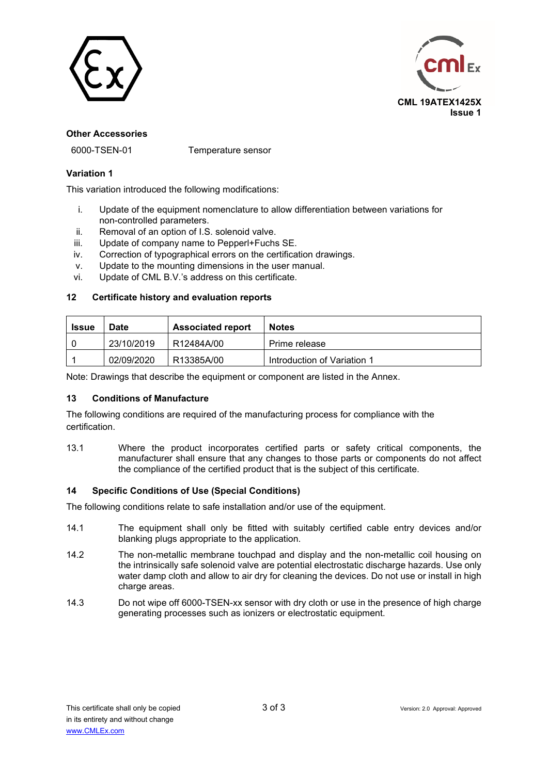



#### **Other Accessories**

6000-TSEN-01 Temperature sensor

### **Variation 1**

This variation introduced the following modifications:

- i. Update of the equipment nomenclature to allow differentiation between variations for non-controlled parameters.
- ii. Removal of an option of I.S. solenoid valve.
- iii. Update of company name to Pepperl+Fuchs SE.
- iv. Correction of typographical errors on the certification drawings.
- v. Update to the mounting dimensions in the user manual.
- vi. Update of CML B.V.'s address on this certificate.

#### **12 Certificate history and evaluation reports**

| <b>Issue</b> | Date       | <b>Associated report</b> | <b>Notes</b>                |
|--------------|------------|--------------------------|-----------------------------|
|              | 23/10/2019 | R12484A/00               | Prime release               |
|              | 02/09/2020 | R13385A/00               | Introduction of Variation 1 |

Note: Drawings that describe the equipment or component are listed in the Annex.

## **13 Conditions of Manufacture**

The following conditions are required of the manufacturing process for compliance with the certification.

13.1 Where the product incorporates certified parts or safety critical components, the manufacturer shall ensure that any changes to those parts or components do not affect the compliance of the certified product that is the subject of this certificate.

## **14 Specific Conditions of Use (Special Conditions)**

The following conditions relate to safe installation and/or use of the equipment.

- 14.1 The equipment shall only be fitted with suitably certified cable entry devices and/or blanking plugs appropriate to the application.
- 14.2 The non-metallic membrane touchpad and display and the non-metallic coil housing on the intrinsically safe solenoid valve are potential electrostatic discharge hazards. Use only water damp cloth and allow to air dry for cleaning the devices. Do not use or install in high charge areas.
- 14.3 Do not wipe off 6000-TSEN-xx sensor with dry cloth or use in the presence of high charge generating processes such as ionizers or electrostatic equipment.